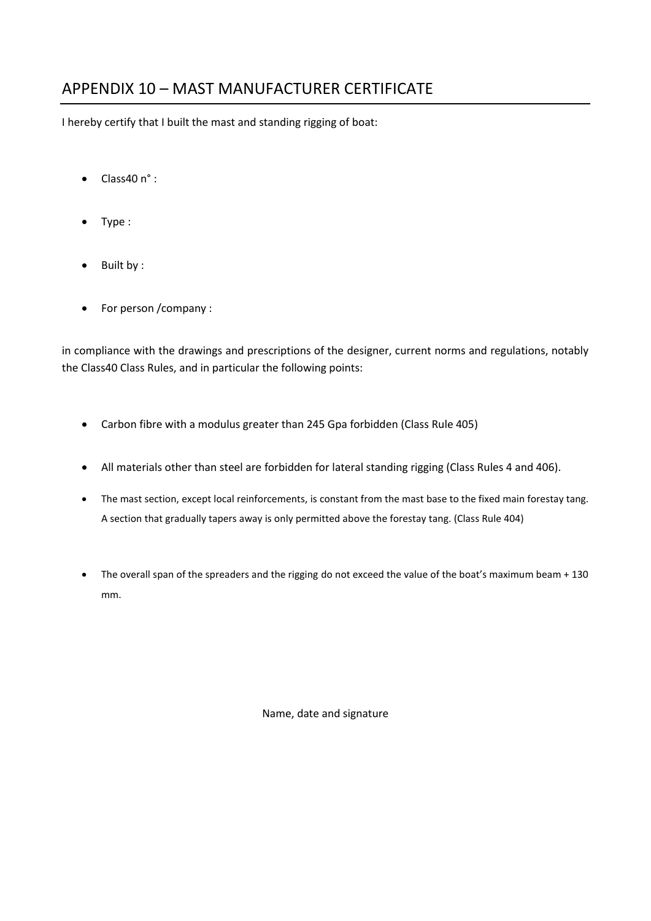## APPENDIX 10 – MAST MANUFACTURER CERTIFICATE

I hereby certify that I built the mast and standing rigging of boat:

- $\bullet$  Class40 n°:
- Type :
- Built by :
- For person /company :

in compliance with the drawings and prescriptions of the designer, current norms and regulations, notably the Class40 Class Rules, and in particular the following points:

- Carbon fibre with a modulus greater than 245 Gpa forbidden (Class Rule 405)
- All materials other than steel are forbidden for lateral standing rigging (Class Rules 4 and 406).
- The mast section, except local reinforcements, is constant from the mast base to the fixed main forestay tang. A section that gradually tapers away is only permitted above the forestay tang. (Class Rule 404)
- The overall span of the spreaders and the rigging do not exceed the value of the boat's maximum beam + 130 mm.

Name, date and signature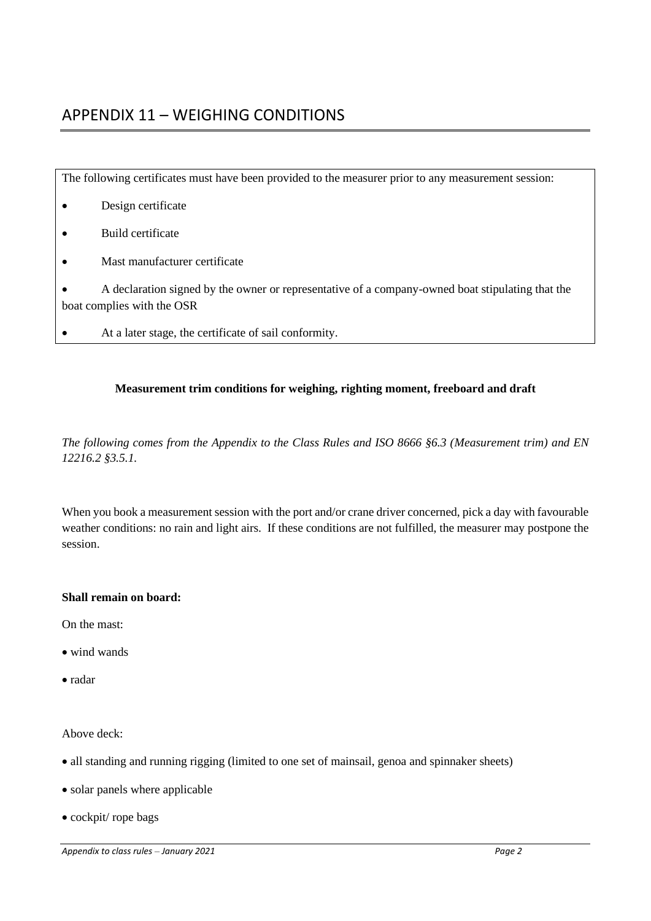# APPENDIX 11 – WEIGHING CONDITIONS

| The following certificates must have been provided to the measurer prior to any measurement session:                           |
|--------------------------------------------------------------------------------------------------------------------------------|
| Design certificate                                                                                                             |
| Build certificate                                                                                                              |
| Mast manufacturer certificate                                                                                                  |
| A declaration signed by the owner or representative of a company-owned boat stipulating that the<br>boat complies with the OSR |
| At a later stage, the certificate of sail conformity.                                                                          |

### **Measurement trim conditions for weighing, righting moment, freeboard and draft**

*The following comes from the Appendix to the Class Rules and ISO 8666 §6.3 (Measurement trim) and EN 12216.2 §3.5.1.*

When you book a measurement session with the port and/or crane driver concerned, pick a day with favourable weather conditions: no rain and light airs. If these conditions are not fulfilled, the measurer may postpone the session.

#### **Shall remain on board:**

On the mast:

- wind wands
- radar

Above deck:

- all standing and running rigging (limited to one set of mainsail, genoa and spinnaker sheets)
- solar panels where applicable
- cockpit/ rope bags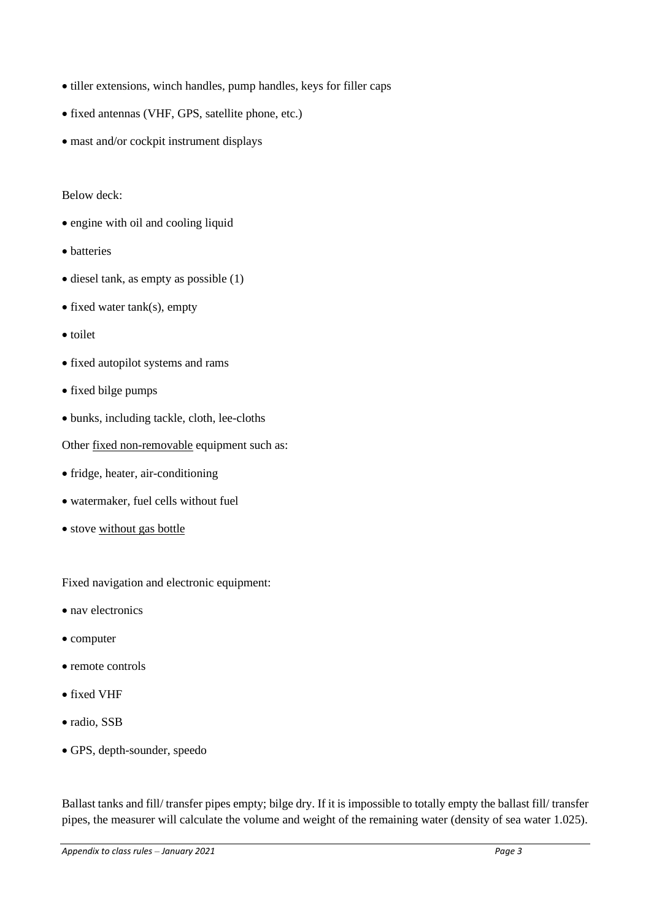- tiller extensions, winch handles, pump handles, keys for filler caps
- fixed antennas (VHF, GPS, satellite phone, etc.)
- mast and/or cockpit instrument displays

#### Below deck:

- engine with oil and cooling liquid
- batteries
- diesel tank, as empty as possible (1)
- fixed water tank(s), empty
- toilet
- fixed autopilot systems and rams
- fixed bilge pumps
- bunks, including tackle, cloth, lee-cloths

Other fixed non-removable equipment such as:

- fridge, heater, air-conditioning
- watermaker, fuel cells without fuel
- stove without gas bottle

Fixed navigation and electronic equipment:

- nav electronics
- computer
- remote controls
- fixed VHF
- radio, SSB
- GPS, depth-sounder, speedo

Ballast tanks and fill/ transfer pipes empty; bilge dry. If it is impossible to totally empty the ballast fill/ transfer pipes, the measurer will calculate the volume and weight of the remaining water (density of sea water 1.025).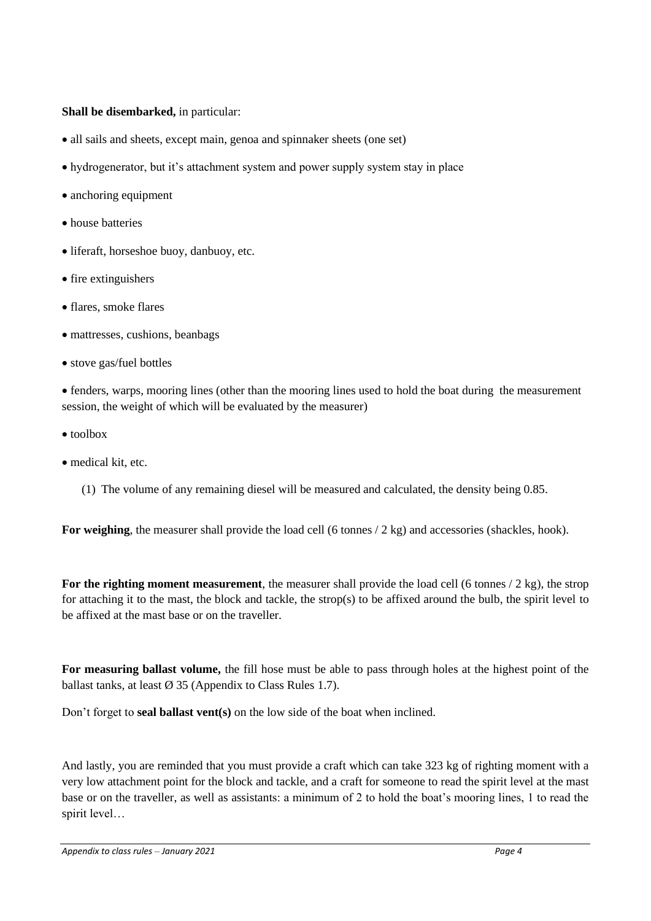#### **Shall be disembarked,** in particular:

- all sails and sheets, except main, genoa and spinnaker sheets (one set)
- hydrogenerator, but it's attachment system and power supply system stay in place
- anchoring equipment
- house batteries
- liferaft, horseshoe buoy, danbuoy, etc.
- fire extinguishers
- flares, smoke flares
- mattresses, cushions, beanbags
- stove gas/fuel bottles

• fenders, warps, mooring lines (other than the mooring lines used to hold the boat during the measurement session, the weight of which will be evaluated by the measurer)

- toolbox
- medical kit, etc.
	- (1) The volume of any remaining diesel will be measured and calculated, the density being 0.85.

For weighing, the measurer shall provide the load cell (6 tonnes / 2 kg) and accessories (shackles, hook).

**For the righting moment measurement**, the measurer shall provide the load cell (6 tonnes / 2 kg), the strop for attaching it to the mast, the block and tackle, the strop(s) to be affixed around the bulb, the spirit level to be affixed at the mast base or on the traveller.

**For measuring ballast volume,** the fill hose must be able to pass through holes at the highest point of the ballast tanks, at least  $\varnothing$  35 (Appendix to Class Rules 1.7).

Don't forget to **seal ballast vent(s)** on the low side of the boat when inclined.

And lastly, you are reminded that you must provide a craft which can take 323 kg of righting moment with a very low attachment point for the block and tackle, and a craft for someone to read the spirit level at the mast base or on the traveller, as well as assistants: a minimum of 2 to hold the boat's mooring lines, 1 to read the spirit level…